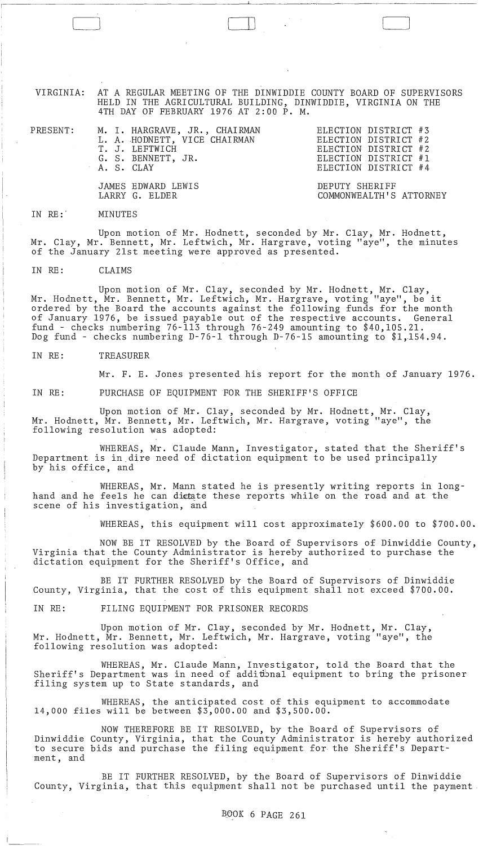VIRGINIA: AT A REGULAR MEETING OF THE DINWIDDIE COUNTY BOARD OF SUPERVISORS HELD IN THE AGRICULTURAL BUILDING, DINWIDDIE, VIRGINIA ON THE 4TH DAY OF FEBRUARY 1976 AT 2:00 P. M.

 $\Box$ 

PRESENT:

M. I. HARGRAVE, JR., CHAIRMAN<br>L. A. HODNETT, VICE CHAIRMAN T. J. LEFTWICH G. S. BENNETT, JR. A. S. CLAY ELECTION DISTRICT #3 ELECTION DISTRICT #2 ELECTION DISTRICT #2 ELECTION DISTRICT #1 ELECTION DISTRICT #4

JAMES EDWARD LEWIS LARRY G. ELDER DEPUTY SHERIFF COMMONWEALTH'S ATTORNEY

IN RE:' MINUTES

Upon motion of Mr. Hodnett, seconded by Mr. Clay, Mr. Hodnett, Mr. Clay, Mr. Bennett, Mr. Leftwich, Mr. Hargrave, voting "aye", the minutes of the January 21st meeting were approved as presented.

IN RE: CLAIMS

Upon motion of Mr. Clay, seconded by Mr. Hodnett, Mr. Clay, Mr. Hodnett, Mr. Bennett, Mr. Leftwich, Mr. Hargrave, voting "aye", be it ordered by the Board the accounts against the following funds for the month of January 1976, be issued payable out of the respective accounts. General fund - checks numbering 76-113 through 76-249 amounting to \$40,105.21. Dog fund - checks numbering D-76-1 through D-76-15 amounting to \$1,154.94.

IN RE: TREASURER

Mr. F. E. Jones presented his report for the month of January 1976.

IN RE: PURCHASE OF EQUIPMENT FOR THE SHERIFF'S OFFICE

Upon motion of Mr. Clay, seconded by Mr. Hodnett, Mr. Clay, Mr. Hodnett, Mr. Bennett, Mr. Leftwich, Mr. Hargrave, voting "aye", the following resolution was adopted:

WHEREAS, Mr. Claude Mann, Investigator, stated that the Sheriff's Department is in.dire need of dictation equipment to be used principally by his office, and

WHEREAS, Mr. Mann stated he is presently writing reports in longhand and he feels he can dictate these reports while on the road and at the scene of his investigation, and

WHEREAS, this equipment will cost approximately \$600.00 to \$700.00.

NOW BE IT RESOLVED by the Board of Supervisors of Dinwiddie County, Virginia that the County Administrator is hereby authorized to purchase the dictation equipment for the Sheriff's Office, and

BE IT FURTHER RESOLVED by the Board of Supervisors of Dinwiddie County, Virginia, that the cost of this equipment shall not exceed \$700.00.

IN RE: FILING EQUIPMENT FOR PRISONER RECORDS

Upon motion of Mr. Clay, seconded by Mr. Hodnett, Mr. Clay, Mr. Hodnett, Mr. Bennett, Mr. Leftwich, Mr. Hargrave, voting "aye", the following resolution was adopted:

WHEREAS, Mr. Claude Mann, Investigator, told the Board that the Sheriff's Department was in need of additional equipment to bring the prisoner filing system up to State standards, and

WHEREAS, the anticipated cost of this equipment to accommodate 14,000 files will be between \$3,000.00 and \$3,500.00.

NOW THEREFORE BE IT RESOLVED, by the Board of Supervisors of Dinwiddie County, Virginia, that the County Administrator is hereby authorized to secure bids and purchase the filing equipment for the Sheriff's Department, and

BE IT FURTHER RESOLVED, by the Board of Supervisors of Dinwiddie County, Virginia, that this equipment shall not be purchased until the payment.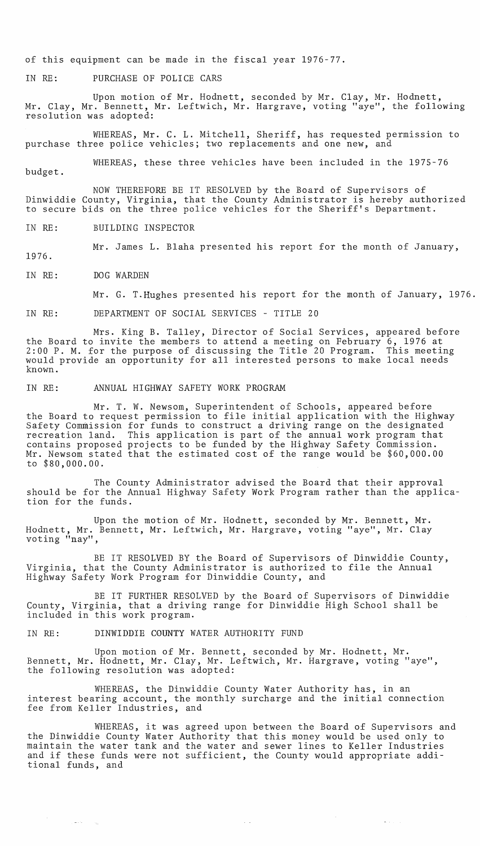of this equipment can be made in the fiscal year 1976-77.

IN RE: PURCHASE OF POLICE CARS

Upon motion of Mr. Hodnett, seconded by Mr. Clay, Mr. Hodnett, Mr. Clay, Mr. Bennett, Mr. Leftwich, Mr. Hargrave, voting "aye", the following resolution was adopted:

WHEREAS, Mr. C. L. Mitchell, Sheriff, has requested permission to purchase three police vehicles; two replacements and one new, and

WHEREAS, these three vehicles have been included in the 1975-76

budget.

1976.

NOW THEREFORE BE IT RESOLVED by the Board of Supervisors of Dinwiddie County, Virginia, that the County Administrator is hereby authorized to secure bids on the three police vehicles for the Sheriff's Department.

IN RE: BUILDING INSPECTOR

Mr. James L. Blaha presented his report for the month of January,

IN RE: DOG WARDEN

 $\hat{\gamma}_i \leftrightarrow \hat{\gamma}_i \gamma_i = \gamma_{\rm in}$ 

Mr. G. T.Hughes presented his report for the month of January, 1976.

IN RE: DEPARTMENT OF SOCIAL SERVICES - TITLE 20

Mrs. King B. Talley, Director of Social Services, appeared before the Board to invite the members to attend a meeting on February  $6, 1976$  at 2:00 P. M. for the purpose of discussing the Title 20 Program. This meeting would provide an opportunity for all interested persons to make local needs known.

IN RE: ANNUAL HIGHWAY SAFETY WORK PROGRAM

Mr. T. W. Newsom, Superintendent of Schools, appeared before the Board to request permission to file initial application with the Highway Safety Commission for funds to construct a driving range on the designated recreation land. This application is part of the annual work program that contains proposed projects to be funded by the Highway Safety Commission. Mr. Newsom stated that the estimated cost of the range would be \$60,000.00 to \$80,000.00.

The County Administrator advised the Board that their approval should be for the Annual Highway Safety Work Program rather than the application for the funds.

Upon the motion of Mr. Hodnett, seconded by Mr. Bennett, Mr. Hodnett, Mr. Bennett, Mr. Leftwich, Mr. Hargrave, voting "aye", Mr. Clay voting "nay",

BE IT RESOLVED BY the Board of Supervisors of Dinwiddie County, Virginia, that the County Administrator is authorized to file the Annual Highway Safety Work Program for Dinwiddie County, and

BE IT FURTHER RESOLVED by the Board of Supervisors of Dinwiddie County, Virginia, that a driving range for Dinwiddie High School shall be included in this work program.

IN RE: DINWIDDIE COUNTY WATER AUTHORITY FUND

Upon motion of Mr. Bennett, seconded by Mr. Hodnett, Mr. Bennett, Mr. Hodnett, Mr. Clay, Mr. Leftwich, Mr. Hargrave, voting "aye", the following resolution was adopted:

WHEREAS, the Dinwiddie County Water Authority has, in an interest bearing account, the monthly surcharge and the initial connection fee from Keller Industries, and

WHEREAS, it was agreed upon between the Board of Supervisors and the Dinwiddie County Water Authority that this money would be used only to maintain the water tank and the water and sewer lines to Keller Industries maintain the water tank and the water and sewer fines to keffer findstries<br>and if these funds were not sufficient, the County would appropriate additional funds, and

 $\sim 100$ 

 $\omega_{\rm{max}}$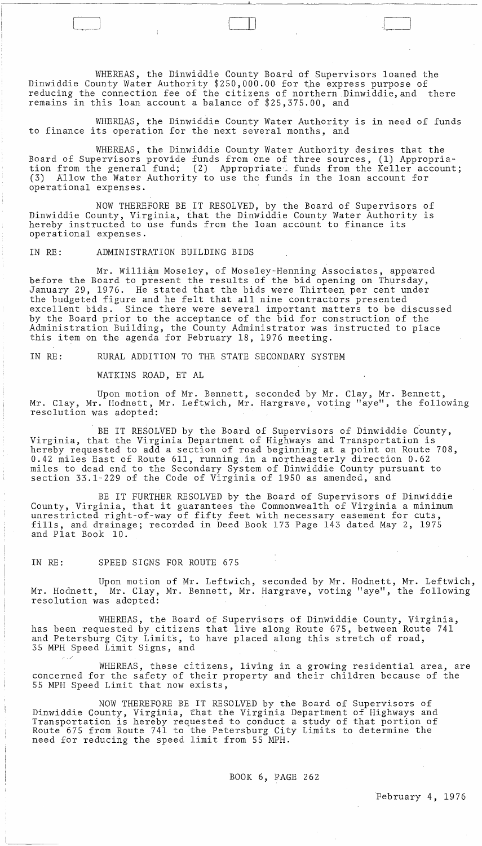WHEREAS, the Dinwiddie County Board of Supervisors loaned the Dinwiddie County Water Authority \$250,000.00 for the express purpose of<br>reducing the connection fee of the citizens of northern Dinwiddie, and there reducing the connection fee of the citizens of northern Dinwiddie, and remains in this loan account a balance of \$25,375.00, and

 $\Box$ 

WHEREAS, the Dinwiddie County Water Authority is in need of funds to finance its operation for the next several months, and

WHEREAS, the Dinwiddie County Water Authority desires that the Board of Supervisors provide funds from one of three sources, (1) Appropriation from the general fund; (2) Appropriate funds from the Keller account; (3) Allow the Water Authority to use the funds in the loan account for operational expenses.

NOW THEREFORE BE IT RESOLVED, by the Board of Supervisors of Dinwiddie County, Virginia, that the Dinwiddie County Water Authority is binwidate Gounty, virginia, that the binwidate county water Addhorited to use funds from the loan account to finance its operational expenses.

## IN RE: ADMINISTRATION BUILDING BIDS

Mr. William Moseley, of Moseley-Henning Associates, appeared before the Board to present the results of the bid opening on Thursday, January 29, 1976. He stated that the bids were Thirteen per cent under the budgeted figure and he felt that all nine contractors presented excellent bids. Since there were several important matters to be discussed by the Board prior to the acceptance of the bid for construction of the Administration Building, the County Administrator was instructed to place this item on the agenda for February 18, 1976 meeting.

IN RE: RURAL ADDITION TO THE STATE SECONDARY SYSTEM

WATKINS ROAD, ET AL

Upon motion of Mr. Bennett, seconded by Mr. Clay, Mr. Bennett, Mr. Clay, Mr. Hodnett, Mr. Leftwich, Mr. Hargrave, voting "aye", the following resolution was adopted:

BE IT RESOLVED by the Board of Supervisors of Dinwiddie County, Virginia, that the Virginia Department of Higbways and Transportation is hereby requested to add a section of road beginning at a point on Route 708, 0.42 miles East of Route 611, running in a northeasterly direction 0.62 miles to dead end to the Secondary System of Dinwiddie County pursuant to section 33.1-229 of the Code of Virginia of 1950 as amended, and

BE IT FURTHER RESOLVED by the Board of Supervisors of Dinwiddie County, Virginia, that it guarantees the Commonwealth of Virginia a minimum unrestricted right-of-way of fifty feet with necessary easement for cuts, fills, and drainage; recorded in Deed Book 173 Page 143 dated May 2, 1975 and Plat Book 10.

IN RE: SPEED SIGNS FOR ROUTE 675

/ ./

Upon motion of Mr. Leftwich, seconded by Mr. Hodnett, Mr. Leftwich, Mr. Hodnett, Mr. Clay, Mr. Bennett, Mr. Hargrave, voting "aye", the following resolution was adopted:

WHEREAS, the Board of Supervisors of Dinwiddie County, Virginia, has been requested by citizens that live along Route 675, between Route 741 and Petersburg City Limits, to have placed along this stretch of road, 35 MPH Speed Limit Signs, and

WHEREAS, these citizens, living in a growing residential area, are concerned for the safety of their property and their children because of the 55 MPH Speed Limit that now exists,

NOW THEREFORE BE IT RESOLVED by the Board of Supervisors of Dinwiddie County, Virginia, t'hat the Virginia Department of Highways and Transportation is hereby requested to conduct a study of that portion of Route 675 from Route 741 to the Petersburg City Limits to determine the need for reducing the speed limit from 55 MPH.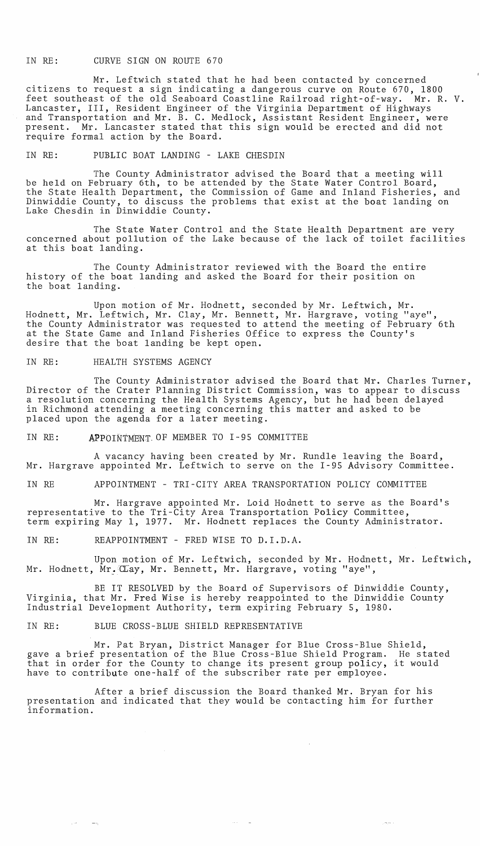## IN RE: CURVE SIGN ON ROUTE 670

Mr. Leftwich stated that he had been contacted by concerned citizens to request a sign indicating a dangerous curve on Route 670, 1800 feet southeast of the old Seaboard Coastline Railroad right-of-way. Mr. R. V. Lancaster, III, Resident Engineer of the Virginia Department of Highways and Transportation and Mr. B. C. Medlock, Assistant Resident Engineer, were present. Mr. Lancaster stated that this sign would be erected and did not require formal action by the Board.

IN RE: PUBLIC BOAT LANDING - LAKE CHESDIN

The County Administrator advised the Board that a meeting will be held on February 6th, to be attended by the State Water Control Board, the State Health Department, the Commission of Game and Inland Fisheries, and Dinwiddie County, to discuss the problems that exist at the boat landing on Lake Chesdin in Dinwiddie County.

The State Water Control and the State Health Department are very concerned about pollution of the Lake because of the lack of toilet facilities at this boat landing.

The County Administrator reviewed with the Board the entire history of the boat landing and asked the Board for their position on the boat landing.

Upon motion of Mr. Hodnett, seconded by Mr. Leftwich, Mr. Hodnett, Mr. Leftwich, Mr. Clay, Mr. Bennett, Mr. Hargrave, voting "aye", the County Administrator was requested to attend the meeting of February 6th at the State Game and Inland Fisheries Office to express the County's desire that the boat landing be kept open.

IN RE: HEALTH SYSTEMS AGENCY

The County Administrator advised the Board that Mr. Charles Turner, Director of the Crater Planning District Commission, was to appear to discuss a resolution concerning the Health Systems Agency, but he had been delayed in Richmond attending a meeting concerning this matter and asked to be placed upon the agenda for a later meeting.

IN RE: APPOINTMENT-OF MEMBER TO 1-95 COMMITTEE

A vacancy having been created by Mr. Rundle leaving the Board, Mr. Hargrave appointed Mr. Leftwich to serve on the 1-95 Advisory Committee.

IN RE APPOINTMENT - TRI-CITY AREA TRANSPORTATION POLICY COMMITTEE

Mr. Hargrave appointed Mr. Loid Hodnett to serve as the Board's representative to the Tri-City Area Transportation Policy Committee, term expiring May 1, 1977. Mr. Hodnett replaces the County Administrator.

IN RE: REAPPOINTMENT - FRED WISE TO D.I.D.A.

Upon motion of Mr. Leftwich, seconded by Mr. Hodnett, Mr. Leftwich, Mr. Hodnett, Mr. CLay, Mr. Bennett, Mr. Hargrave, voting "aye",

BE IT RESOLVED by the Board of Supervisors of Dinwiddie County, Virginia, that Mr. Fred Wise is hereby reappointed to the Dinwiddie County Industrial Development Authority, term expiring February 5, 1980.

IN RE: BLUE CROSS-BLUE SHIELD REPRESENTATIVE

Mr. Pat Bryan, District Manager for Blue Cross-Blue Shield, gave a brief presentation of the Blue Cross-Blue Shield Program. He stated that in order for the County to change its present group policy, it would have to contribute one-half of the subscriber rate per employee.

After a brief discussion the Board thanked Mr. Bryan for his presentation and indicated that they would be contacting him for further information.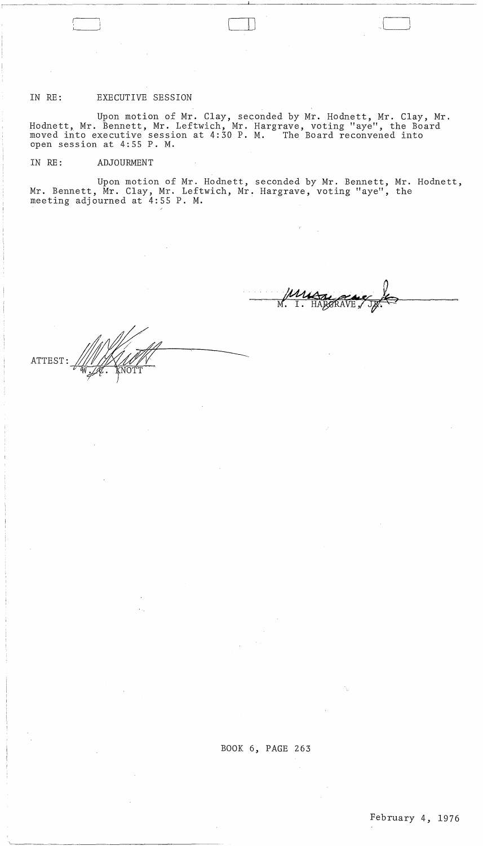## IN RE: EXECUTIVE SESSION

Upon motion of Mr. Clay, seconded by Mr. Hodnett, Mr. Clay, Mr. Hodnett, Mr. Bennett, Mr. Leftwich, Mr. Hargrave, voting "aye", the Board moved into executive session at 4:30 P. M. The Board reconvened into open session at 4:55 P. M.

 $\sim$   $\lambda$ 

IN RE: ADJOURMENT

Upon motion of Mr. Hodnett, seconded by Mr. Bennett, Mr. Hodnett, Mr. Bennett, Mr. Clay, Mr. Leftwich, Mr. Hargrave, voting "aye", the meeting adjourned at 4:55 P. M.

 $\overline{M}$ HARARA

 $\Box$ 

ATTEST: ~~~~~~~~=

 $\sim$   $\sim$ 

 $\sim$   $\sim$ 

 $\sim$ 

 $\bar{\beta}$